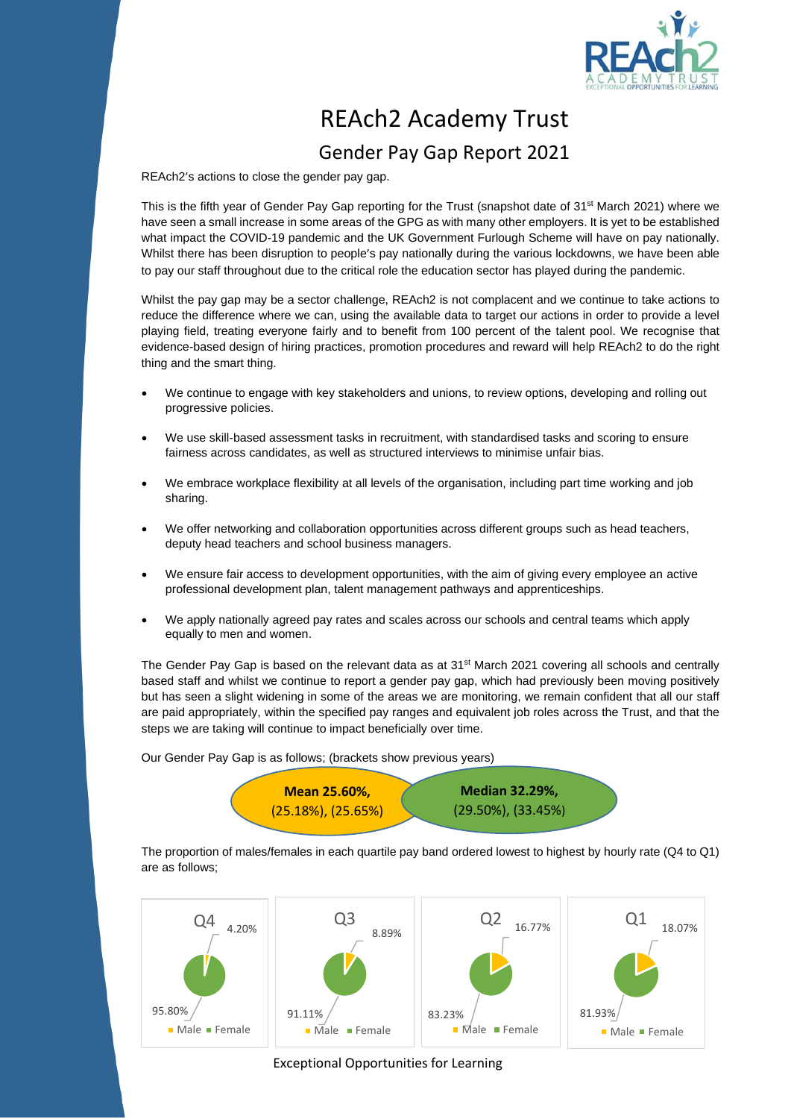

## REAch2 Academy Trust

## Gender Pay Gap Report 2021

REAch2's actions to close the gender pay gap.

This is the fifth year of Gender Pay Gap reporting for the Trust (snapshot date of 31<sup>st</sup> March 2021) where we have seen a small increase in some areas of the GPG as with many other employers. It is yet to be established what impact the COVID-19 pandemic and the UK Government Furlough Scheme will have on pay nationally. Whilst there has been disruption to people's pay nationally during the various lockdowns, we have been able to pay our staff throughout due to the critical role the education sector has played during the pandemic.

Whilst the pay gap may be a sector challenge, REAch2 is not complacent and we continue to take actions to reduce the difference where we can, using the available data to target our actions in order to provide a level playing field, treating everyone fairly and to benefit from 100 percent of the talent pool. We recognise that evidence-based design of hiring practices, promotion procedures and reward will help REAch2 to do the right thing and the smart thing.

- We continue to engage with key stakeholders and unions, to review options, developing and rolling out progressive policies.
- We use skill-based assessment tasks in recruitment, with standardised tasks and scoring to ensure fairness across candidates, as well as structured interviews to minimise unfair bias.
- We embrace workplace flexibility at all levels of the organisation, including part time working and job sharing.
- We offer networking and collaboration opportunities across different groups such as head teachers, deputy head teachers and school business managers.
- We ensure fair access to development opportunities, with the aim of giving every employee an active professional development plan, talent management pathways and apprenticeships.
- We apply nationally agreed pay rates and scales across our schools and central teams which apply equally to men and women.

The Gender Pay Gap is based on the relevant data as at 31<sup>st</sup> March 2021 covering all schools and centrally based staff and whilst we continue to report a gender pay gap, which had previously been moving positively but has seen a slight widening in some of the areas we are monitoring, we remain confident that all our staff are paid appropriately, within the specified pay ranges and equivalent job roles across the Trust, and that the steps we are taking will continue to impact beneficially over time.

Our Gender Pay Gap is as follows; (brackets show previous years)



The proportion of males/females in each quartile pay band ordered lowest to highest by hourly rate (Q4 to Q1) are as follows;



Exceptional Opportunities for Learning